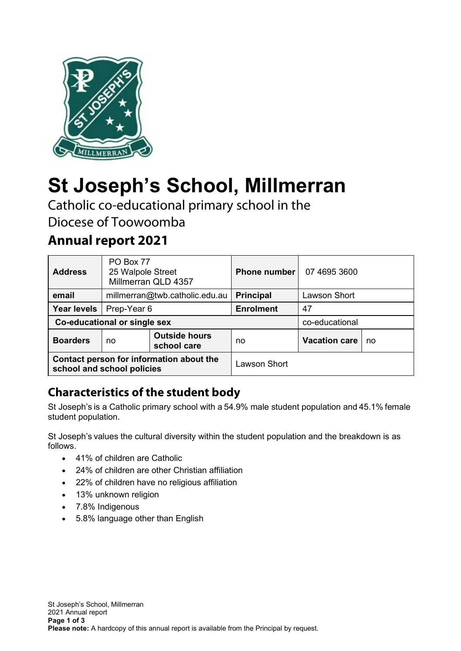

# **St Joseph's School, Millmerran**

Catholic co-educational primary school in the Diocese of Toowoomba

# **Annual report 2021**

| <b>Address</b>                                                         | PO Box 77<br>25 Walpole Street<br>Millmerran QLD 4357 |                                     | <b>Phone number</b>              | 07 4695 3600        |  |
|------------------------------------------------------------------------|-------------------------------------------------------|-------------------------------------|----------------------------------|---------------------|--|
| email                                                                  | millmerran@twb.catholic.edu.au                        |                                     | <b>Principal</b>                 | <b>Lawson Short</b> |  |
| <b>Year levels</b>                                                     | Prep-Year 6                                           |                                     | <b>Enrolment</b>                 | 47                  |  |
| Co-educational or single sex                                           |                                                       |                                     |                                  | co-educational      |  |
| <b>Boarders</b>                                                        | no                                                    | <b>Outside hours</b><br>school care | <b>Vacation care</b><br>no<br>no |                     |  |
| Contact person for information about the<br>school and school policies |                                                       |                                     | <b>Lawson Short</b>              |                     |  |

# **Characteristics of the student body**

St Joseph's is a Catholic primary school with a 54.9% male student population and 45.1% female student population.   

St Joseph's values the cultural diversity within the student population and the breakdown is as follows.  

- 41% of children are Catholic
- 24% of children are other Christian affiliation
- 22% of children have no religious affiliation
- 13% unknown religion
- 7.8% Indigenous
- 5.8% language other than English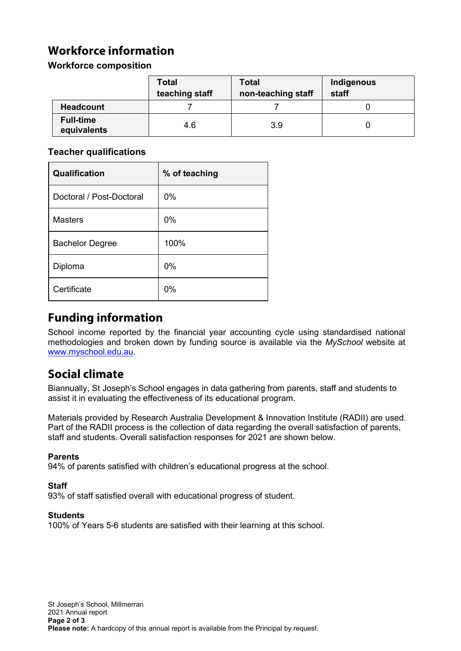# **Workforce information**

#### **Workforce composition**

|                                 | <b>Total</b><br>teaching staff | <b>Total</b><br>non-teaching staff | Indigenous<br>staff |
|---------------------------------|--------------------------------|------------------------------------|---------------------|
| <b>Headcount</b>                |                                |                                    |                     |
| <b>Full-time</b><br>equivalents | 4.6                            | 3.9                                |                     |

#### **Teacher qualifications**

| Qualification            | % of teaching |
|--------------------------|---------------|
| Doctoral / Post-Doctoral | $0\%$         |
| <b>Masters</b>           | $0\%$         |
| <b>Bachelor Degree</b>   | 100%          |
| Diploma                  | $0\%$         |
| Certificate              | 0%            |

### **Funding information**

School income reported by the financial year accounting cycle using standardised national methodologies and broken down by funding source is available via the *MySchool* website at [www.myschool.edu.au.](http://www.myschool.edu.au/)

# **Social climate**

Biannually, St Joseph's School engages in data gathering from parents, staff and students to assist it in evaluating the effectiveness of its educational program.

Materials provided by Research Australia Development & Innovation Institute (RADII) are used. Part of the RADII process is the collection of data regarding the overall satisfaction of parents, staff and students. Overall satisfaction responses for 2021 are shown below.

#### **Parents**

94% of parents satisfied with children's educational progress at the school.

#### **Staff**

93% of staff satisfied overall with educational progress of student.

#### **Students**

100% of Years 5-6 students are satisfied with their learning at this school.